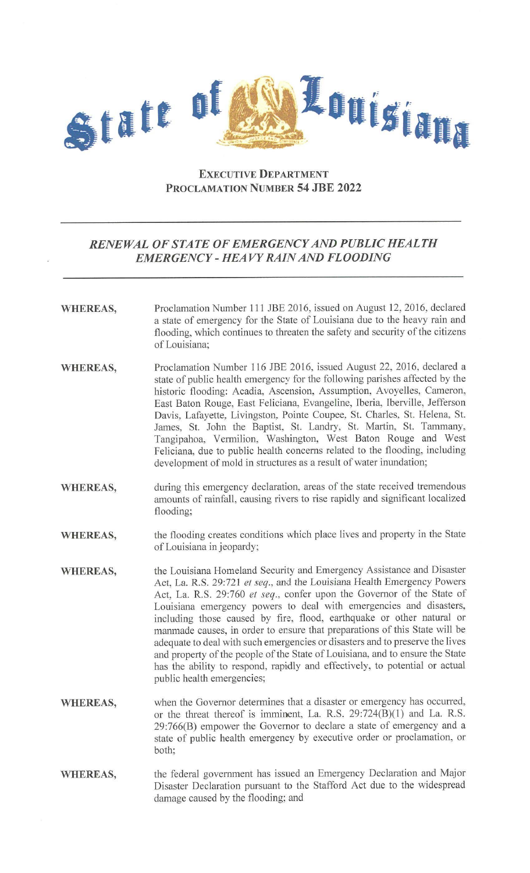

## **EXECUTIVE DEPARTMENT PROCLAMATION NUMBER 54 JBE 2022**

## *RENEWAL OF STATE OF EMERGENCY AND PUBLIC HEALTH EMERGENCY* **-** *HEAVY RAIN AND FLOODING*

| <b>WHEREAS,</b> | Proclamation Number 111 JBE 2016, issued on August 12, 2016, declared         |
|-----------------|-------------------------------------------------------------------------------|
|                 | a state of emergency for the State of Louisiana due to the heavy rain and     |
|                 | flooding, which continues to threaten the safety and security of the citizens |
|                 | of Louisiana;                                                                 |

- **WHEREAS,** Proclamation Number 116 JBE 2016, issued August 22, 2016, declared a state of public health emergency for the following parishes affected by the historic flooding: Acadia, Ascension, Assumption, Avoyelles, Cameron, East Baton Rouge, East Feliciana, Evangeline, Iberia, Iberville, Jefferson Davis, Lafayette, Livingston, Pointe Coupee, St. Charles, St. Helena, St. James, St. John the Baptist, St. Landry, St. Martin, St. Tammany, Tangipahoa, Vermilion, Washington, West Baton Rouge and West Feliciana, due to public health concerns related to the flooding, including development of mold in structures as a result of water inundation;
- during this emergency declaration, areas of the state received tremendous **WHEREAS,** amounts of rainfall, causing rivers to rise rapidly and significant localized flooding;
- **WHEREAS,**  the flooding creates conditions which place lives and property in the State of Louisiana in jeopardy;
- the Louisiana Homeland Security and Emergency Assistance and Disaster **WHEREAS,** Act, La. R.S. 29:721 *et seq.,* and the Louisiana Health Emergency Powers Act, La. R.S. 29:760 *et seq.,* confer upon the Governor of the State of Louisiana emergency powers to deal with emergencies and disasters, including those caused by fire, flood, earthquake or other natural or manmade causes, in order to ensure that preparations of this State will be adequate to deal with such emergencies or disasters and to preserve the lives and property of the people of the State of Louisiana, and to ensure the State has the ability to respond, rapidly and effectively, to potential or actual public health emergencies;
- **WHEREAS,**  when the Governor determines that a disaster or emergency has occurred, or the threat thereof is imminent, La. R.S. 29:724(B)(l) and La. R.S. 29:766(B) empower the Governor to declare a state of emergency and a state of public health emergency by executive order or proclamation, or both;
- **WHEREAS,**  the federal government has issued an Emergency Declaration and Major Disaster Declaration pursuant to the Stafford Act due to the widespread damage caused by the flooding; and